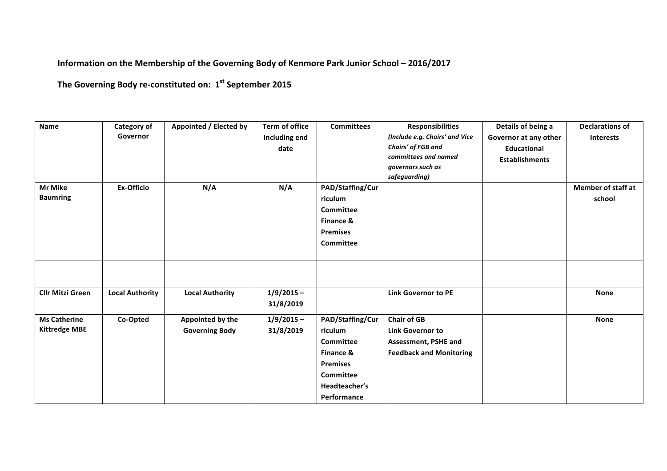## **Information on the Membership of the Governing Body of Kenmore Park Junior School - 2016/2017**

The Governing Body re-constituted on:  $1^{st}$  September 2015

| <b>Name</b>                                 | Category of<br>Governor | Appointed / Elected by                    | <b>Term of office</b><br>Including end<br>date | <b>Committees</b>                                                                                                     | <b>Responsibilities</b><br>(Include e.g. Chairs' and Vice<br>Chairs' of FGB and<br>committees and named<br>governors such as<br>safeguarding) | Details of being a<br>Governor at any other<br><b>Educational</b><br><b>Establishments</b> | <b>Declarations of</b><br><b>Interests</b> |
|---------------------------------------------|-------------------------|-------------------------------------------|------------------------------------------------|-----------------------------------------------------------------------------------------------------------------------|-----------------------------------------------------------------------------------------------------------------------------------------------|--------------------------------------------------------------------------------------------|--------------------------------------------|
| <b>Mr Mike</b><br><b>Baumring</b>           | <b>Ex-Officio</b>       | N/A                                       | N/A                                            | PAD/Staffing/Cur<br>riculum<br>Committee<br>Finance &<br><b>Premises</b><br><b>Committee</b>                          |                                                                                                                                               |                                                                                            | <b>Member of staff at</b><br>school        |
| <b>Cllr Mitzi Green</b>                     | <b>Local Authority</b>  | <b>Local Authority</b>                    | $1/9/2015 -$<br>31/8/2019                      |                                                                                                                       | <b>Link Governor to PE</b>                                                                                                                    |                                                                                            | <b>None</b>                                |
| <b>Ms Catherine</b><br><b>Kittredge MBE</b> | Co-Opted                | Appointed by the<br><b>Governing Body</b> | $1/9/2015 -$<br>31/8/2019                      | PAD/Staffing/Cur<br>riculum<br>Committee<br>Finance &<br><b>Premises</b><br>Committee<br>Headteacher's<br>Performance | <b>Chair of GB</b><br><b>Link Governor to</b><br>Assessment, PSHE and<br><b>Feedback and Monitoring</b>                                       |                                                                                            | <b>None</b>                                |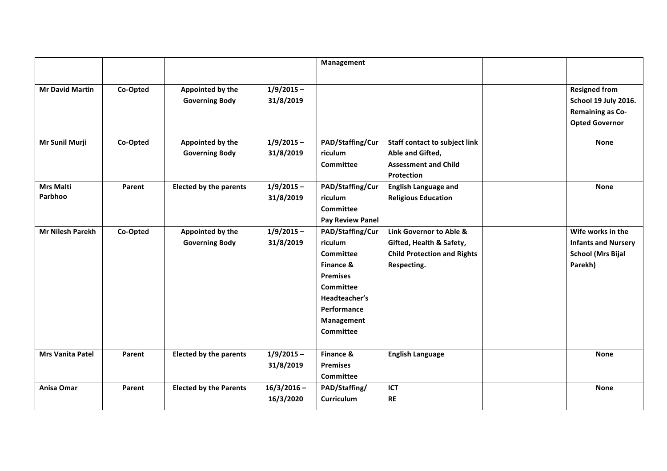|                         |          |                               |               | Management              |                                      |                            |
|-------------------------|----------|-------------------------------|---------------|-------------------------|--------------------------------------|----------------------------|
|                         |          |                               |               |                         |                                      |                            |
| <b>Mr David Martin</b>  | Co-Opted | Appointed by the              | $1/9/2015 -$  |                         |                                      | <b>Resigned from</b>       |
|                         |          | <b>Governing Body</b>         | 31/8/2019     |                         |                                      | School 19 July 2016.       |
|                         |          |                               |               |                         |                                      | <b>Remaining as Co-</b>    |
|                         |          |                               |               |                         |                                      | <b>Opted Governor</b>      |
|                         |          |                               |               |                         |                                      |                            |
| Mr Sunil Murji          | Co-Opted | Appointed by the              | $1/9/2015 -$  | PAD/Staffing/Cur        | <b>Staff contact to subject link</b> | <b>None</b>                |
|                         |          | <b>Governing Body</b>         | 31/8/2019     | riculum                 | Able and Gifted,                     |                            |
|                         |          |                               |               | <b>Committee</b>        | <b>Assessment and Child</b>          |                            |
|                         |          |                               |               |                         | <b>Protection</b>                    |                            |
| <b>Mrs Malti</b>        | Parent   | <b>Elected by the parents</b> | $1/9/2015 -$  | PAD/Staffing/Cur        | <b>English Language and</b>          | <b>None</b>                |
| Parbhoo                 |          |                               | 31/8/2019     | riculum                 | <b>Religious Education</b>           |                            |
|                         |          |                               |               | <b>Committee</b>        |                                      |                            |
|                         |          |                               |               | <b>Pay Review Panel</b> |                                      |                            |
| <b>Mr Nilesh Parekh</b> | Co-Opted | Appointed by the              | $1/9/2015 -$  | PAD/Staffing/Cur        | Link Governor to Able &              | Wife works in the          |
|                         |          | <b>Governing Body</b>         | 31/8/2019     | riculum                 | Gifted, Health & Safety,             | <b>Infants and Nursery</b> |
|                         |          |                               |               | Committee               | <b>Child Protection and Rights</b>   | <b>School (Mrs Bijal</b>   |
|                         |          |                               |               | Finance &               | Respecting.                          | Parekh)                    |
|                         |          |                               |               | <b>Premises</b>         |                                      |                            |
|                         |          |                               |               | <b>Committee</b>        |                                      |                            |
|                         |          |                               |               | Headteacher's           |                                      |                            |
|                         |          |                               |               | Performance             |                                      |                            |
|                         |          |                               |               | Management              |                                      |                            |
|                         |          |                               |               | <b>Committee</b>        |                                      |                            |
|                         |          |                               |               |                         |                                      |                            |
| <b>Mrs Vanita Patel</b> | Parent   | <b>Elected by the parents</b> | $1/9/2015 -$  | Finance &               | <b>English Language</b>              | <b>None</b>                |
|                         |          |                               | 31/8/2019     | <b>Premises</b>         |                                      |                            |
|                         |          |                               |               | Committee               |                                      |                            |
| Anisa Omar              | Parent   | <b>Elected by the Parents</b> | $16/3/2016 -$ | PAD/Staffing/           | ICT                                  | <b>None</b>                |
|                         |          |                               | 16/3/2020     | <b>Curriculum</b>       | <b>RE</b>                            |                            |
|                         |          |                               |               |                         |                                      |                            |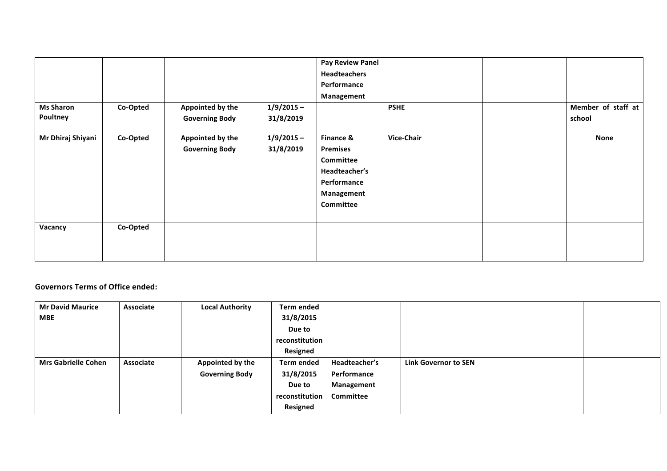|                   |          |                                           |                           | <b>Pay Review Panel</b>                                                                              |             |                    |
|-------------------|----------|-------------------------------------------|---------------------------|------------------------------------------------------------------------------------------------------|-------------|--------------------|
|                   |          |                                           |                           | Headteachers                                                                                         |             |                    |
|                   |          |                                           |                           | Performance                                                                                          |             |                    |
|                   |          |                                           |                           | Management                                                                                           |             |                    |
| <b>Ms Sharon</b>  | Co-Opted | Appointed by the                          | $1/9/2015 -$              |                                                                                                      | <b>PSHE</b> | Member of staff at |
| Poultney          |          | <b>Governing Body</b>                     | 31/8/2019                 |                                                                                                      |             | school             |
| Mr Dhiraj Shiyani | Co-Opted | Appointed by the<br><b>Governing Body</b> | $1/9/2015 -$<br>31/8/2019 | Finance &<br><b>Premises</b><br>Committee<br>Headteacher's<br>Performance<br>Management<br>Committee | Vice-Chair  | <b>None</b>        |
| Vacancy           | Co-Opted |                                           |                           |                                                                                                      |             |                    |

## **Governors Terms of Office ended:**

| <b>Mr David Maurice</b>    | Associate | <b>Local Authority</b> | <b>Term ended</b> |               |                             |  |
|----------------------------|-----------|------------------------|-------------------|---------------|-----------------------------|--|
| <b>MBE</b>                 |           |                        | 31/8/2015         |               |                             |  |
|                            |           |                        | Due to            |               |                             |  |
|                            |           |                        | reconstitution    |               |                             |  |
|                            |           |                        | <b>Resigned</b>   |               |                             |  |
| <b>Mrs Gabrielle Cohen</b> | Associate | Appointed by the       | <b>Term ended</b> | Headteacher's | <b>Link Governor to SEN</b> |  |
|                            |           | <b>Governing Body</b>  | 31/8/2015         | Performance   |                             |  |
|                            |           |                        | Due to            | Management    |                             |  |
|                            |           |                        | reconstitution    | Committee     |                             |  |
|                            |           |                        | <b>Resigned</b>   |               |                             |  |